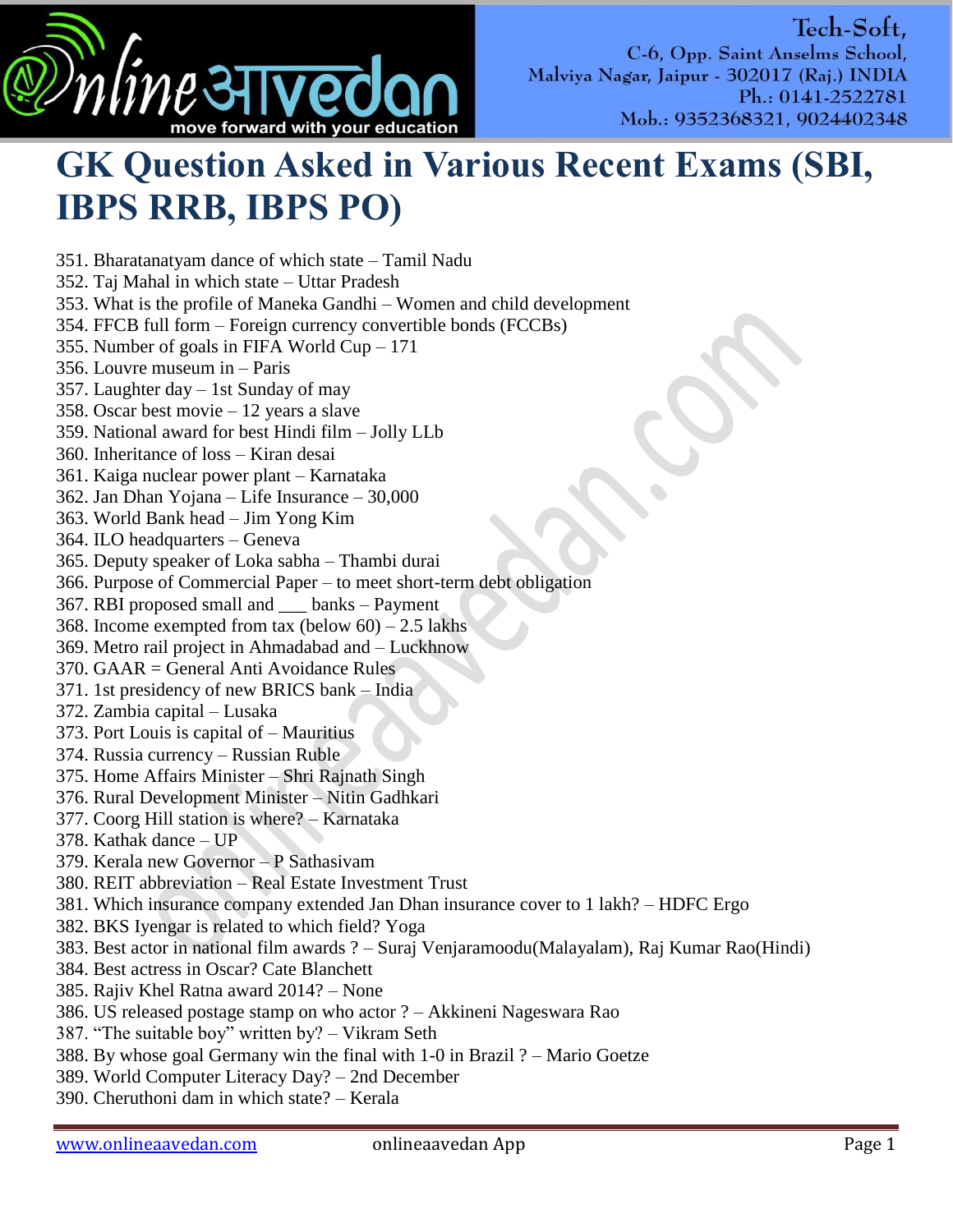

## **GK Question Asked in Various Recent Exams (SBI, IBPS RRB, IBPS PO)**

351. Bharatanatyam dance of which state – Tamil Nadu

352. Taj Mahal in which state – Uttar Pradesh

353. What is the profile of Maneka Gandhi – Women and child development

- 354. FFCB full form Foreign currency convertible bonds (FCCBs)
- 355. Number of goals in FIFA World Cup 171
- 356. Louvre museum in Paris

357. Laughter day – 1st Sunday of may

- 358. Oscar best movie 12 years a slave
- 359. National award for best Hindi film Jolly LLb
- 360. Inheritance of loss Kiran desai
- 361. Kaiga nuclear power plant Karnataka
- 362. Jan Dhan Yojana Life Insurance 30,000
- 363. World Bank head Jim Yong Kim
- 364. ILO headquarters Geneva
- 365. Deputy speaker of Loka sabha Thambi durai
- 366. Purpose of Commercial Paper to meet short-term debt obligation
- 367. RBI proposed small and \_\_\_ banks Payment
- 368. Income exempted from tax (below  $60 2.5$  lakhs)
- 369. Metro rail project in Ahmadabad and Luckhnow
- 370. GAAR = General Anti Avoidance Rules
- 371. 1st presidency of new BRICS bank India
- 372. Zambia capital Lusaka
- 373. Port Louis is capital of Mauritius
- 374. Russia currency Russian Ruble
- 375. Home Affairs Minister Shri Rajnath Singh
- 376. Rural Development Minister Nitin Gadhkari
- 377. Coorg Hill station is where? Karnataka
- 378. Kathak dance UP
- 379. Kerala new Governor P Sathasivam
- 380. REIT abbreviation Real Estate Investment Trust
- 381. Which insurance company extended Jan Dhan insurance cover to 1 lakh? HDFC Ergo
- 382. BKS Iyengar is related to which field? Yoga
- 383. Best actor in national film awards ? Suraj Venjaramoodu(Malayalam), Raj Kumar Rao(Hindi)
- 384. Best actress in Oscar? Cate Blanchett
- 385. Rajiv Khel Ratna award 2014? None
- 386. US released postage stamp on who actor ? Akkineni Nageswara Rao
- 387. "The suitable boy" written by? Vikram Seth
- 388. By whose goal Germany win the final with 1-0 in Brazil ? Mario Goetze
- 389. World Computer Literacy Day? 2nd December
- 390. Cheruthoni dam in which state? Kerala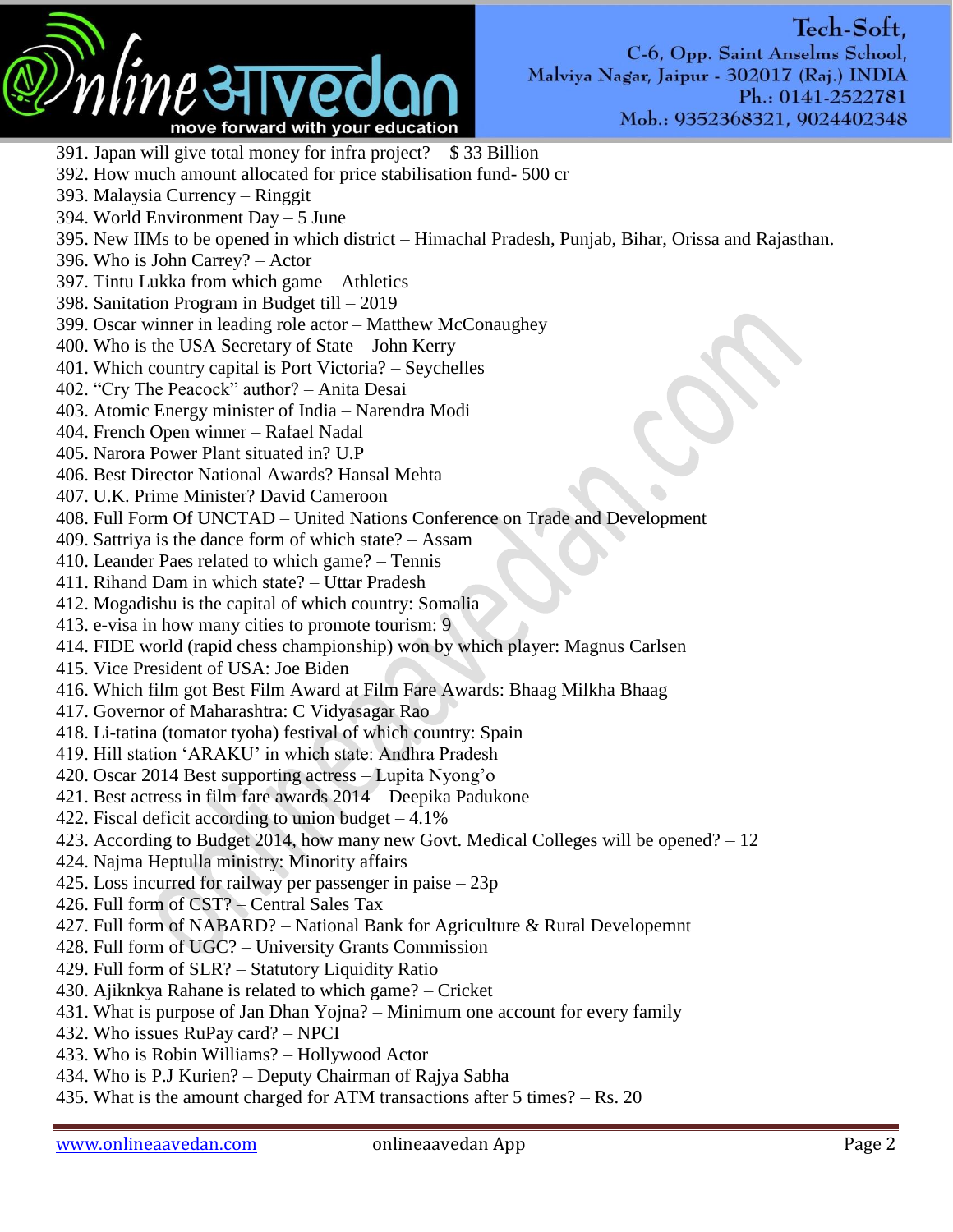

- 391. Japan will give total money for infra project? \$ 33 Billion
- 392. How much amount allocated for price stabilisation fund- 500 cr
- 393. Malaysia Currency Ringgit
- 394. World Environment Day 5 June
- 395. New IIMs to be opened in which district Himachal Pradesh, Punjab, Bihar, Orissa and Rajasthan.
- 396. Who is John Carrey? Actor
- 397. Tintu Lukka from which game Athletics
- 398. Sanitation Program in Budget till 2019
- 399. Oscar winner in leading role actor Matthew McConaughey
- 400. Who is the USA Secretary of State John Kerry
- 401. Which country capital is Port Victoria? Seychelles
- 402. "Cry The Peacock" author? Anita Desai
- 403. Atomic Energy minister of India Narendra Modi
- 404. French Open winner Rafael Nadal
- 405. Narora Power Plant situated in? U.P
- 406. Best Director National Awards? Hansal Mehta
- 407. U.K. Prime Minister? David Cameroon
- 408. Full Form Of UNCTAD United Nations Conference on Trade and Development
- 409. Sattriya is the dance form of which state? Assam
- 410. Leander Paes related to which game? Tennis
- 411. Rihand Dam in which state? Uttar Pradesh
- 412. Mogadishu is the capital of which country: Somalia
- 413. e-visa in how many cities to promote tourism: 9
- 414. FIDE world (rapid chess championship) won by which player: Magnus Carlsen
- 415. Vice President of USA: Joe Biden
- 416. Which film got Best Film Award at Film Fare Awards: Bhaag Milkha Bhaag
- 417. Governor of Maharashtra: C Vidyasagar Rao
- 418. Li-tatina (tomator tyoha) festival of which country: Spain
- 419. Hill station ‗ARAKU' in which state: Andhra Pradesh
- 420. Oscar 2014 Best supporting actress Lupita Nyong'o
- 421. Best actress in film fare awards 2014 Deepika Padukone
- 422. Fiscal deficit according to union budget  $-4.1\%$
- 423. According to Budget 2014, how many new Govt. Medical Colleges will be opened? 12
- 424. Najma Heptulla ministry: Minority affairs
- 425. Loss incurred for railway per passenger in paise 23p
- 426. Full form of CST? Central Sales Tax
- 427. Full form of NABARD? National Bank for Agriculture & Rural Developemnt
- 428. Full form of UGC? University Grants Commission
- 429. Full form of SLR? Statutory Liquidity Ratio
- 430. Ajiknkya Rahane is related to which game? Cricket
- 431. What is purpose of Jan Dhan Yojna? Minimum one account for every family
- 432. Who issues RuPay card? NPCI
- 433. Who is Robin Williams? Hollywood Actor
- 434. Who is P.J Kurien? Deputy Chairman of Rajya Sabha
- 435. What is the amount charged for ATM transactions after 5 times? Rs. 20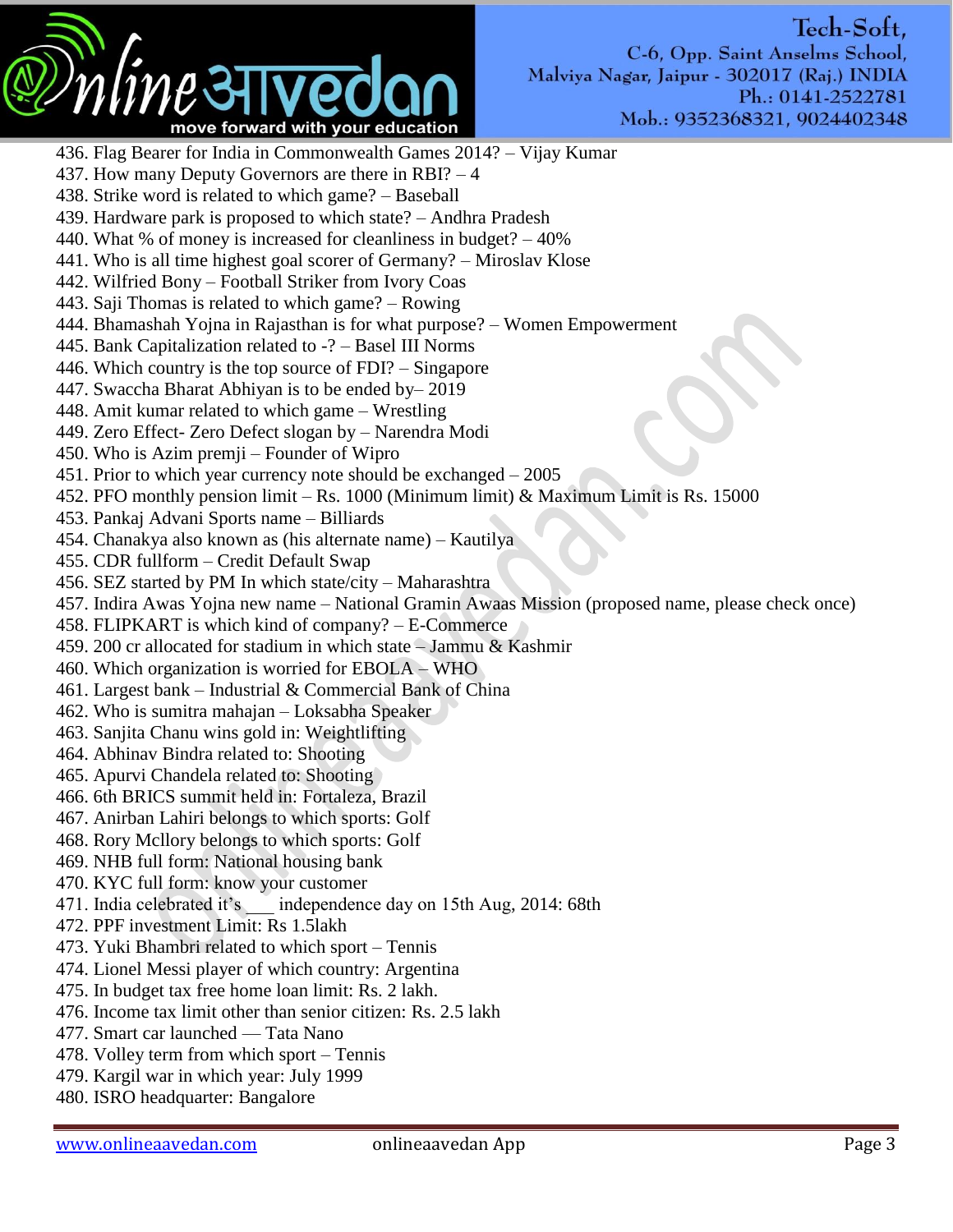

436. Flag Bearer for India in Commonwealth Games 2014? – Vijay Kumar 437. How many Deputy Governors are there in RBI? – 4 438. Strike word is related to which game? – Baseball 439. Hardware park is proposed to which state? – Andhra Pradesh 440. What % of money is increased for cleanliness in budget? – 40% 441. Who is all time highest goal scorer of Germany? – Miroslav Klose 442. Wilfried Bony – Football Striker from Ivory Coas 443. Saji Thomas is related to which game? – Rowing 444. Bhamashah Yojna in Rajasthan is for what purpose? – Women Empowerment 445. Bank Capitalization related to -? – Basel III Norms 446. Which country is the top source of FDI? – Singapore 447. Swaccha Bharat Abhiyan is to be ended by– 2019 448. Amit kumar related to which game – Wrestling 449. Zero Effect- Zero Defect slogan by – Narendra Modi 450. Who is Azim premji – Founder of Wipro 451. Prior to which year currency note should be exchanged – 2005 452. PFO monthly pension limit – Rs. 1000 (Minimum limit) & Maximum Limit is Rs. 15000 453. Pankaj Advani Sports name – Billiards 454. Chanakya also known as (his alternate name) – Kautilya 455. CDR fullform – Credit Default Swap 456. SEZ started by PM In which state/city – Maharashtra 457. Indira Awas Yojna new name – National Gramin Awaas Mission (proposed name, please check once) 458. FLIPKART is which kind of company? – E-Commerce 459. 200 cr allocated for stadium in which state – Jammu & Kashmir 460. Which organization is worried for EBOLA – WHO 461. Largest bank – Industrial & Commercial Bank of China 462. Who is sumitra mahajan – Loksabha Speaker 463. Sanjita Chanu wins gold in: Weightlifting 464. Abhinav Bindra related to: Shooting 465. Apurvi Chandela related to: Shooting 466. 6th BRICS summit held in: Fortaleza, Brazil 467. Anirban Lahiri belongs to which sports: Golf 468. Rory Mcllory belongs to which sports: Golf 469. NHB full form: National housing bank 470. KYC full form: know your customer 471. India celebrated it's independence day on 15th Aug, 2014: 68th 472. PPF investment Limit: Rs 1.5lakh 473. Yuki Bhambri related to which sport – Tennis 474. Lionel Messi player of which country: Argentina 475. In budget tax free home loan limit: Rs. 2 lakh. 476. Income tax limit other than senior citizen: Rs. 2.5 lakh 477. Smart car launched — Tata Nano 478. Volley term from which sport – Tennis 479. Kargil war in which year: July 1999 480. ISRO headquarter: Bangalore